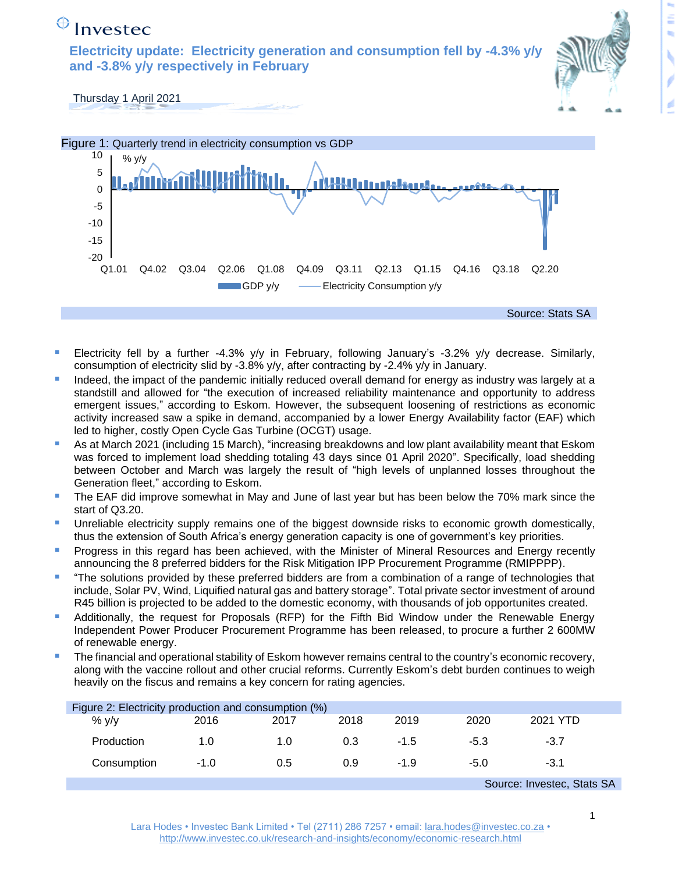## $\bigoplus$  Investec

**Electricity update: Electricity generation and consumption fell by -4.3% y/y and -3.8% y/y respectively in February** 



Thursday 1 April 2021



- Electricity fell by a further -4.3% y/y in February, following January's -3.2% y/y decrease. Similarly, consumption of electricity slid by -3.8% y/y, after contracting by -2.4% y/y in January.
- Indeed, the impact of the pandemic initially reduced overall demand for energy as industry was largely at a standstill and allowed for "the execution of increased reliability maintenance and opportunity to address emergent issues," according to Eskom. However, the subsequent loosening of restrictions as economic activity increased saw a spike in demand, accompanied by a lower Energy Availability factor (EAF) which led to higher, costly Open Cycle Gas Turbine (OCGT) usage.
- As at March 2021 (including 15 March), "increasing breakdowns and low plant availability meant that Eskom was forced to implement load shedding totaling 43 days since 01 April 2020". Specifically, load shedding between October and March was largely the result of "high levels of unplanned losses throughout the Generation fleet," according to Eskom.
- The EAF did improve somewhat in May and June of last year but has been below the 70% mark since the start of Q3.20.
- Unreliable electricity supply remains one of the biggest downside risks to economic growth domestically, thus the extension of South Africa's energy generation capacity is one of government's key priorities.
- Progress in this regard has been achieved, with the Minister of Mineral Resources and Energy recently announcing the 8 preferred bidders for the Risk Mitigation IPP Procurement Programme (RMIPPPP).
- "The solutions provided by these preferred bidders are from a combination of a range of technologies that include, Solar PV, Wind, Liquified natural gas and battery storage". Total private sector investment of around R45 billion is projected to be added to the domestic economy, with thousands of job opportunites created.
- Additionally, the request for Proposals (RFP) for the Fifth Bid Window under the Renewable Energy Independent Power Producer Procurement Programme has been released, to procure a further 2 600MW of renewable energy.
- The financial and operational stability of Eskom however remains central to the country's economic recovery, along with the vaccine rollout and other crucial reforms. Currently Eskom's debt burden continues to weigh heavily on the fiscus and remains a key concern for rating agencies.

| Figure 2: Electricity production and consumption (%) |        |      |      |        |        |          |  |
|------------------------------------------------------|--------|------|------|--------|--------|----------|--|
| $\%$ y/y                                             | 2016   | 2017 | 2018 | 2019   | 2020   | 2021 YTD |  |
| <b>Production</b>                                    | 1.0    | 1.0  | 0.3  | $-1.5$ | $-5.3$ | $-3.7$   |  |
| Consumption                                          | $-1.0$ | 0.5  | 0.9  | $-1.9$ | $-5.0$ | $-3.1$   |  |
| $\Omega$ . The same $\Omega$ is $\Omega$             |        |      |      |        |        |          |  |

Source: Investec, Stats SA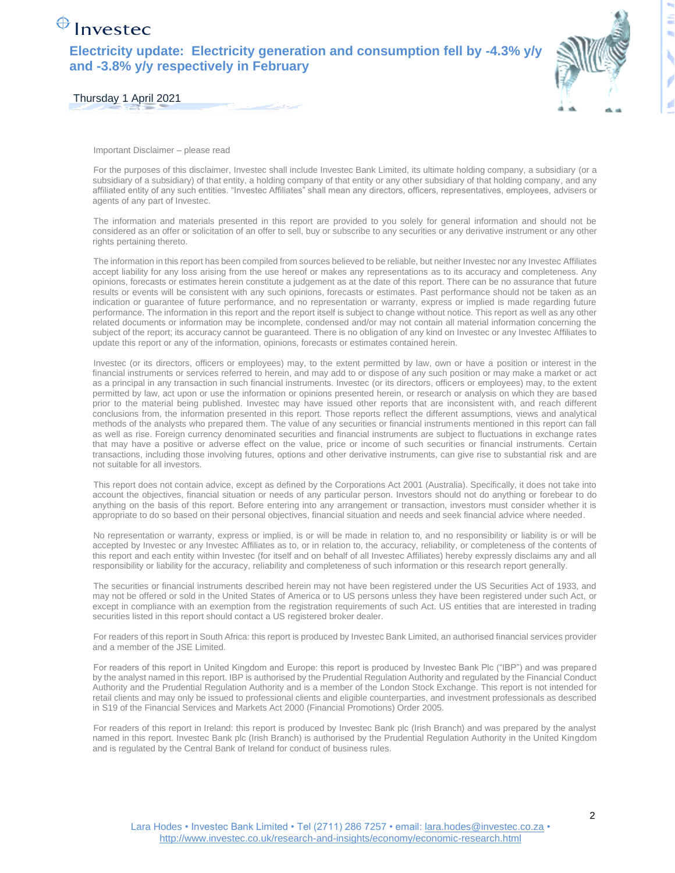## $\bigoplus$  Investec

**Electricity update: Electricity generation and consumption fell by -4.3% y/y and -3.8% y/y respectively in February** 



Thursday 1 April 2021

Important Disclaimer – please read

For the purposes of this disclaimer, Investec shall include Investec Bank Limited, its ultimate holding company, a subsidiary (or a subsidiary of a subsidiary) of that entity, a holding company of that entity or any other subsidiary of that holding company, and any affiliated entity of any such entities. "Investec Affiliates" shall mean any directors, officers, representatives, employees, advisers or agents of any part of Investec.

The information and materials presented in this report are provided to you solely for general information and should not be considered as an offer or solicitation of an offer to sell, buy or subscribe to any securities or any derivative instrument or any other rights pertaining thereto.

The information in this report has been compiled from sources believed to be reliable, but neither Investec nor any Investec Affiliates accept liability for any loss arising from the use hereof or makes any representations as to its accuracy and completeness. Any opinions, forecasts or estimates herein constitute a judgement as at the date of this report. There can be no assurance that future results or events will be consistent with any such opinions, forecasts or estimates. Past performance should not be taken as an indication or guarantee of future performance, and no representation or warranty, express or implied is made regarding future performance. The information in this report and the report itself is subject to change without notice. This report as well as any other related documents or information may be incomplete, condensed and/or may not contain all material information concerning the subject of the report; its accuracy cannot be guaranteed. There is no obligation of any kind on Investec or any Investec Affiliates to update this report or any of the information, opinions, forecasts or estimates contained herein.

Investec (or its directors, officers or employees) may, to the extent permitted by law, own or have a position or interest in the financial instruments or services referred to herein, and may add to or dispose of any such position or may make a market or act as a principal in any transaction in such financial instruments. Investec (or its directors, officers or employees) may, to the extent permitted by law, act upon or use the information or opinions presented herein, or research or analysis on which they are based prior to the material being published. Investec may have issued other reports that are inconsistent with, and reach different conclusions from, the information presented in this report. Those reports reflect the different assumptions, views and analytical methods of the analysts who prepared them. The value of any securities or financial instruments mentioned in this report can fall as well as rise. Foreign currency denominated securities and financial instruments are subject to fluctuations in exchange rates that may have a positive or adverse effect on the value, price or income of such securities or financial instruments. Certain transactions, including those involving futures, options and other derivative instruments, can give rise to substantial risk and are not suitable for all investors.

This report does not contain advice, except as defined by the Corporations Act 2001 (Australia). Specifically, it does not take into account the objectives, financial situation or needs of any particular person. Investors should not do anything or forebear to do anything on the basis of this report. Before entering into any arrangement or transaction, investors must consider whether it is appropriate to do so based on their personal objectives, financial situation and needs and seek financial advice where needed.

No representation or warranty, express or implied, is or will be made in relation to, and no responsibility or liability is or will be accepted by Investec or any Investec Affiliates as to, or in relation to, the accuracy, reliability, or completeness of the contents of this report and each entity within Investec (for itself and on behalf of all Investec Affiliates) hereby expressly disclaims any and all responsibility or liability for the accuracy, reliability and completeness of such information or this research report generally.

The securities or financial instruments described herein may not have been registered under the US Securities Act of 1933, and may not be offered or sold in the United States of America or to US persons unless they have been registered under such Act, or except in compliance with an exemption from the registration requirements of such Act. US entities that are interested in trading securities listed in this report should contact a US registered broker dealer.

For readers of this report in South Africa: this report is produced by Investec Bank Limited, an authorised financial services provider and a member of the JSE Limited.

For readers of this report in United Kingdom and Europe: this report is produced by Investec Bank Plc ("IBP") and was prepared by the analyst named in this report. IBP is authorised by the Prudential Regulation Authority and regulated by the Financial Conduct Authority and the Prudential Regulation Authority and is a member of the London Stock Exchange. This report is not intended for retail clients and may only be issued to professional clients and eligible counterparties, and investment professionals as described in S19 of the Financial Services and Markets Act 2000 (Financial Promotions) Order 2005.

For readers of this report in Ireland: this report is produced by Investec Bank plc (Irish Branch) and was prepared by the analyst named in this report. Investec Bank plc (Irish Branch) is authorised by the Prudential Regulation Authority in the United Kingdom and is regulated by the Central Bank of Ireland for conduct of business rules.